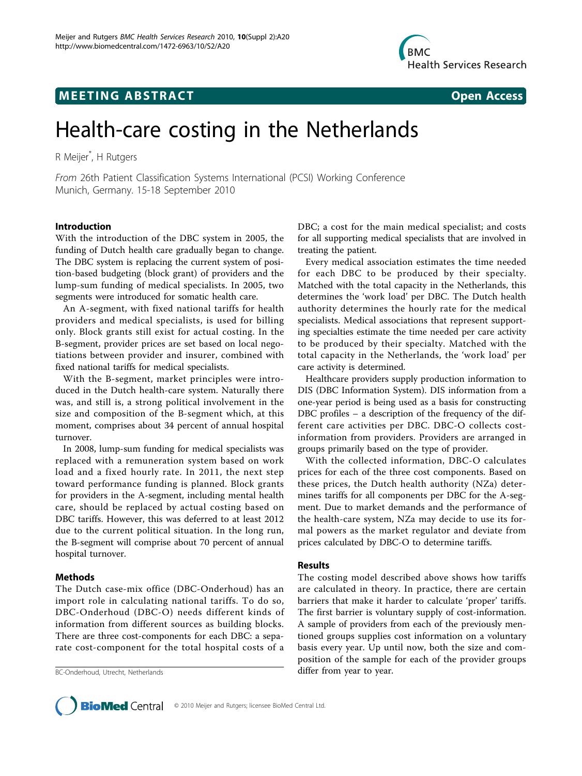## **MEETING ABSTRACT CONSUMING ABSTRACT**

# Health-care costing in the Netherlands

R Meijer\* , H Rutgers

From 26th Patient Classification Systems International (PCSI) Working Conference Munich, Germany. 15-18 September 2010

#### Introduction

With the introduction of the DBC system in 2005, the funding of Dutch health care gradually began to change. The DBC system is replacing the current system of position-based budgeting (block grant) of providers and the lump-sum funding of medical specialists. In 2005, two segments were introduced for somatic health care.

An A-segment, with fixed national tariffs for health providers and medical specialists, is used for billing only. Block grants still exist for actual costing. In the B-segment, provider prices are set based on local negotiations between provider and insurer, combined with fixed national tariffs for medical specialists.

With the B-segment, market principles were introduced in the Dutch health-care system. Naturally there was, and still is, a strong political involvement in the size and composition of the B-segment which, at this moment, comprises about 34 percent of annual hospital turnover.

In 2008, lump-sum funding for medical specialists was replaced with a remuneration system based on work load and a fixed hourly rate. In 2011, the next step toward performance funding is planned. Block grants for providers in the A-segment, including mental health care, should be replaced by actual costing based on DBC tariffs. However, this was deferred to at least 2012 due to the current political situation. In the long run, the B-segment will comprise about 70 percent of annual hospital turnover.

#### Methods

The Dutch case-mix office (DBC-Onderhoud) has an import role in calculating national tariffs. To do so, DBC-Onderhoud (DBC-O) needs different kinds of information from different sources as building blocks. There are three cost-components for each DBC: a separate cost-component for the total hospital costs of a

DBC; a cost for the main medical specialist; and costs for all supporting medical specialists that are involved in treating the patient.

Every medical association estimates the time needed for each DBC to be produced by their specialty. Matched with the total capacity in the Netherlands, this determines the 'work load' per DBC. The Dutch health authority determines the hourly rate for the medical specialists. Medical associations that represent supporting specialties estimate the time needed per care activity to be produced by their specialty. Matched with the total capacity in the Netherlands, the 'work load' per care activity is determined.

Healthcare providers supply production information to DIS (DBC Information System). DIS information from a one-year period is being used as a basis for constructing DBC profiles – a description of the frequency of the different care activities per DBC. DBC-O collects costinformation from providers. Providers are arranged in groups primarily based on the type of provider.

With the collected information, DBC-O calculates prices for each of the three cost components. Based on these prices, the Dutch health authority (NZa) determines tariffs for all components per DBC for the A-segment. Due to market demands and the performance of the health-care system, NZa may decide to use its formal powers as the market regulator and deviate from prices calculated by DBC-O to determine tariffs.

#### Results

The costing model described above shows how tariffs are calculated in theory. In practice, there are certain barriers that make it harder to calculate 'proper' tariffs. The first barrier is voluntary supply of cost-information. A sample of providers from each of the previously mentioned groups supplies cost information on a voluntary basis every year. Up until now, both the size and composition of the sample for each of the provider groups BC-Onderhoud, Utrecht, Netherlands and the differ from year to year.